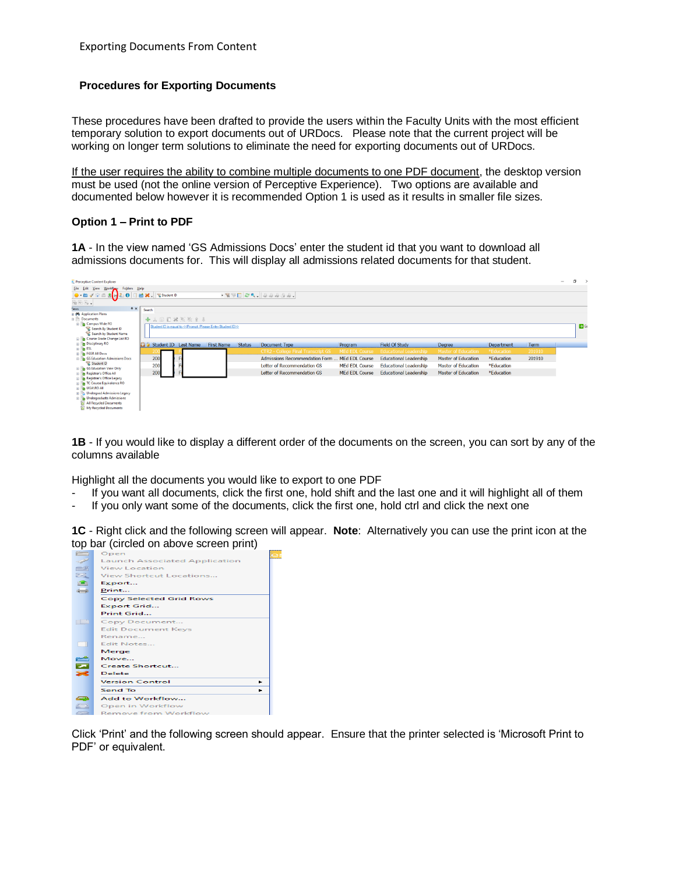### **Procedures for Exporting Documents**

These procedures have been drafted to provide the users within the Faculty Units with the most efficient temporary solution to export documents out of URDocs. Please note that the current project will be working on longer term solutions to eliminate the need for exporting documents out of URDocs.

If the user requires the ability to combine multiple documents to one PDF document, the desktop version must be used (not the online version of Perceptive Experience). Two options are available and documented below however it is recommended Option 1 is used as it results in smaller file sizes.

#### **Option 1 – Print to PDF**

**1A** - In the view named 'GS Admissions Docs' enter the student id that you want to download all admissions documents for. This will display all admissions related documents for that student.

| <b>Perceptive Content Explorer</b>                                                                                                                                                                                                                                                                                                                  |                               |                                                             |               |                                                |                       |                               |                            |            |        | $\overline{\phantom{a}}$ | $\sigma \rightarrow$ |
|-----------------------------------------------------------------------------------------------------------------------------------------------------------------------------------------------------------------------------------------------------------------------------------------------------------------------------------------------------|-------------------------------|-------------------------------------------------------------|---------------|------------------------------------------------|-----------------------|-------------------------------|----------------------------|------------|--------|--------------------------|----------------------|
| File Edit<br>Folders Help<br>Workflow<br>View                                                                                                                                                                                                                                                                                                       |                               |                                                             |               |                                                |                       |                               |                            |            |        |                          |                      |
| $\bullet$ by Real 50                                                                                                                                                                                                                                                                                                                                | Student ID                    |                                                             |               |                                                |                       |                               |                            |            |        |                          |                      |
| $\begin{picture}(20,20) \put(0,0){\line(1,0){10}} \put(15,0){\line(1,0){10}} \put(15,0){\line(1,0){10}} \put(15,0){\line(1,0){10}} \put(15,0){\line(1,0){10}} \put(15,0){\line(1,0){10}} \put(15,0){\line(1,0){10}} \put(15,0){\line(1,0){10}} \put(15,0){\line(1,0){10}} \put(15,0){\line(1,0){10}} \put(15,0){\line(1,0){10}} \put(15,0){\line(1$ |                               |                                                             |               |                                                |                       |                               |                            |            |        |                          |                      |
| $4 \times$<br>'iews                                                                                                                                                                                                                                                                                                                                 | Search                        |                                                             |               |                                                |                       |                               |                            |            |        |                          |                      |
| <b>B</b> @& Application Plans                                                                                                                                                                                                                                                                                                                       |                               |                                                             |               |                                                |                       |                               |                            |            |        |                          |                      |
| <b>Documents</b>                                                                                                                                                                                                                                                                                                                                    | 十人国旧米国改变业                     |                                                             |               |                                                |                       |                               |                            |            |        |                          |                      |
| <b>Elles</b> Campus Wide RO                                                                                                                                                                                                                                                                                                                         |                               | Student ID is equal to << Prompt. Please Enter Student ID>> |               |                                                |                       |                               |                            |            |        |                          | $\Rightarrow$ G      |
| Search By Student ID                                                                                                                                                                                                                                                                                                                                |                               |                                                             |               |                                                |                       |                               |                            |            |        |                          |                      |
| Search by Student Name<br><b>RE</b> Course Grade Change List RO                                                                                                                                                                                                                                                                                     |                               |                                                             |               |                                                |                       |                               |                            |            |        |                          |                      |
| <b>B</b> Disciplinary RO                                                                                                                                                                                                                                                                                                                            |                               |                                                             |               |                                                |                       |                               |                            |            |        |                          |                      |
| <b>ER ESL</b>                                                                                                                                                                                                                                                                                                                                       | <b>C</b> Student ID Last Name | <b>First Name</b>                                           | <b>Status</b> | Document Type                                  | Program               | <b>Field Of Study</b>         | Degree                     | Department | Term   |                          |                      |
| <b>ED</b> FGSR All Docs                                                                                                                                                                                                                                                                                                                             |                               |                                                             |               | <b>CTR2 - College Final Transcript GS</b>      | <b>MEd EDL Course</b> | <b>Educational Leadership</b> | <b>Master of Education</b> | *Education | 201910 |                          |                      |
| <b>B GS</b> Education Admissions Docs                                                                                                                                                                                                                                                                                                               | 200                           |                                                             |               | Admissions Recommendation Form  MEd EDL Course |                       | <b>Educational Leadership</b> | <b>Master of Education</b> | *Education | 201910 |                          |                      |
| Student ID<br><b>B GS</b> Education View Only                                                                                                                                                                                                                                                                                                       | 200                           |                                                             |               | Letter of Recommendation GS                    | <b>MEd EDL Course</b> | <b>Educational Leadership</b> | <b>Master of Education</b> | *Education |        |                          |                      |
| <b>B Registrar's Office All</b>                                                                                                                                                                                                                                                                                                                     | 200                           |                                                             |               | Letter of Recommendation GS                    | <b>MEd EDL Course</b> | <b>Educational Leadership</b> | <b>Master of Education</b> | *Education |        |                          |                      |
| Registrar's Office Legacy                                                                                                                                                                                                                                                                                                                           |                               |                                                             |               |                                                |                       |                               |                            |            |        |                          |                      |
| <b>E TC Course Equivalence RO</b>                                                                                                                                                                                                                                                                                                                   |                               |                                                             |               |                                                |                       |                               |                            |            |        |                          |                      |
| E <b>B</b> UGA\RO AII                                                                                                                                                                                                                                                                                                                               |                               |                                                             |               |                                                |                       |                               |                            |            |        |                          |                      |
| <b>B</b> Undergrad Admissions Legacy                                                                                                                                                                                                                                                                                                                |                               |                                                             |               |                                                |                       |                               |                            |            |        |                          |                      |
| <b>B</b> Undergraduate Admissions<br><b>All Recycled Documents</b>                                                                                                                                                                                                                                                                                  |                               |                                                             |               |                                                |                       |                               |                            |            |        |                          |                      |
| My Recycled Documents                                                                                                                                                                                                                                                                                                                               |                               |                                                             |               |                                                |                       |                               |                            |            |        |                          |                      |
|                                                                                                                                                                                                                                                                                                                                                     |                               |                                                             |               |                                                |                       |                               |                            |            |        |                          |                      |

**1B** - If you would like to display a different order of the documents on the screen, you can sort by any of the columns available

Highlight all the documents you would like to export to one PDF

- If you want all documents, click the first one, hold shift and the last one and it will highlight all of them
- If you only want some of the documents, click the first one, hold ctrl and click the next one

**1C** - Right click and the following screen will appear. **Note**: Alternatively you can use the print icon at the top bar (circled on above screen print)



Click 'Print' and the following screen should appear. Ensure that the printer selected is 'Microsoft Print to PDF' or equivalent.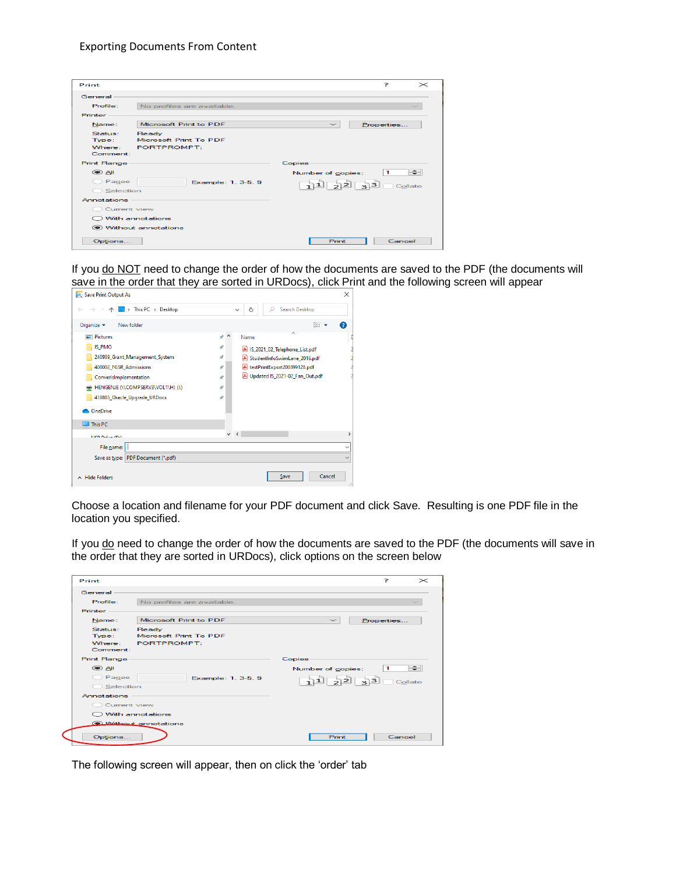#### Exporting Documents From Content

| Print              |                            |                           | 7<br>$\!$  |
|--------------------|----------------------------|---------------------------|------------|
| General            |                            |                           |            |
| Profile:           | No profiles are available. |                           |            |
| Printer            |                            |                           |            |
| Name:              | Microsoft Print to PDE     | $\widetilde{\phantom{a}}$ | Properties |
| Status:            | Ready                      |                           |            |
| Type:              | Microsoft Print To PDF     |                           |            |
| Where:             | PORTPROMPT:                |                           |            |
| Comment:           |                            |                           |            |
| <b>Print Range</b> |                            | <b>Copies</b>             |            |
| ik ⊜               |                            | Number of copies:         | ÷<br>п     |
| Pages              | Example: 1, 3-5, 9         | 11223                     | Collate    |
| Selection          |                            |                           |            |
| <b>Annotations</b> |                            |                           |            |
| Current view       |                            |                           |            |
| O With annotations |                            |                           |            |
|                    | Without annotations        |                           |            |
| Options            |                            | Print                     | Cancel     |

If you do NOT need to change the order of how the documents are saved to the PDF (the documents will save in the order that they are sorted in URDocs), click Print and the following screen will appear



Choose a location and filename for your PDF document and click Save. Resulting is one PDF file in the location you specified.

If you do need to change the order of how the documents are saved to the PDF (the documents will save in the order that they are sorted in URDocs), click options on the screen below

| Print              |                                 | 2<br>$\mathbb{\times}$       |
|--------------------|---------------------------------|------------------------------|
| General            |                                 |                              |
| Profile:           | No profiles are available.      |                              |
| Printer            |                                 |                              |
| Name:              | Microsoft Print to PDF          | Properties                   |
| Status:<br>Type:   | Ready<br>Microsoft Print To PDF |                              |
| Where:<br>Comment: | PORTPROMPT:                     |                              |
| <b>Print Range</b> |                                 | <b>Copies</b>                |
| ik ⊜               |                                 | ⊫≑<br>1<br>Number of copies: |
| Pages              | Example: 1, 3-5, 9              | $112233$ $-$ Collate         |
| Selection          |                                 |                              |
| <b>Annotations</b> |                                 |                              |
| Current view       |                                 |                              |
|                    | With annotations                |                              |
|                    | Without annotations             |                              |
| Options            |                                 | Cancel<br>Print              |

The following screen will appear, then on click the 'order' tab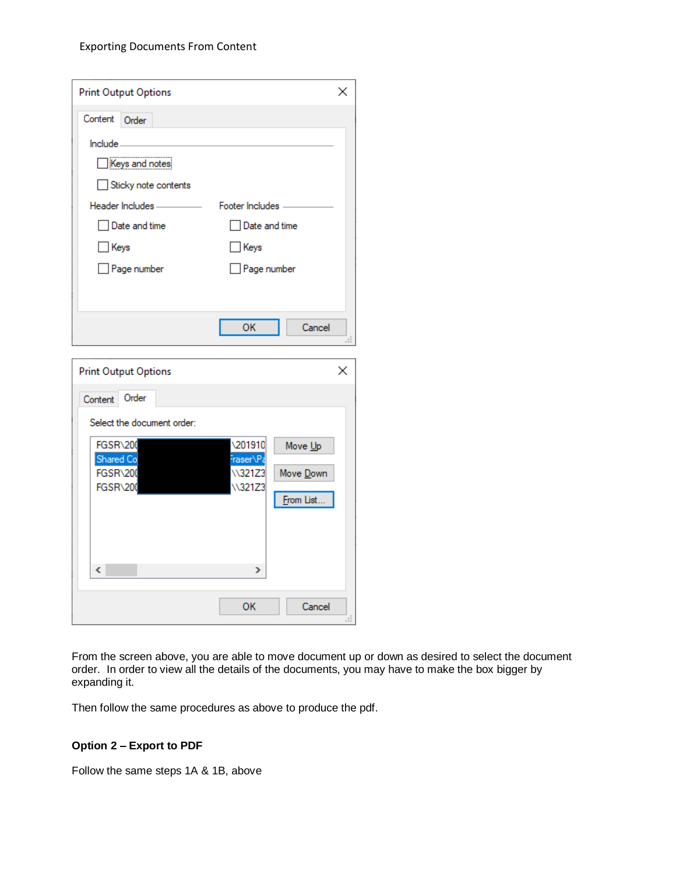| <b>Print Output Options</b> |                   |
|-----------------------------|-------------------|
| Content<br>Order            |                   |
| $Inde-$                     |                   |
| Keys and notes              |                   |
| Sticky note contents        |                   |
| Header Includes-            | Footer Includes - |
| Date and time               | Date and time     |
| Keys                        | Keys              |
| Page number                 | Page number       |
|                             |                   |
|                             |                   |
|                             | ОК<br>Cancel      |
|                             |                   |

| <b>Print Output Options</b> |                     | ×            |
|-----------------------------|---------------------|--------------|
| Order<br>Content            |                     |              |
| Select the document order:  |                     |              |
| FGSR\200<br>Shared Co       | 201910<br>Fraser\Pa | Move Up      |
| FGSR\200                    | \\321Z3             | Move Down    |
| FGSR\200                    | \\321Z3             | From List    |
|                             |                     |              |
|                             |                     |              |
| $\hat{~}$                   | ⋗                   |              |
|                             | ок                  | Cancel<br>H. |

From the screen above, you are able to move document up or down as desired to select the document order. In order to view all the details of the documents, you may have to make the box bigger by expanding it.

Then follow the same procedures as above to produce the pdf.

# **Option 2 – Export to PDF**

Follow the same steps 1A & 1B, above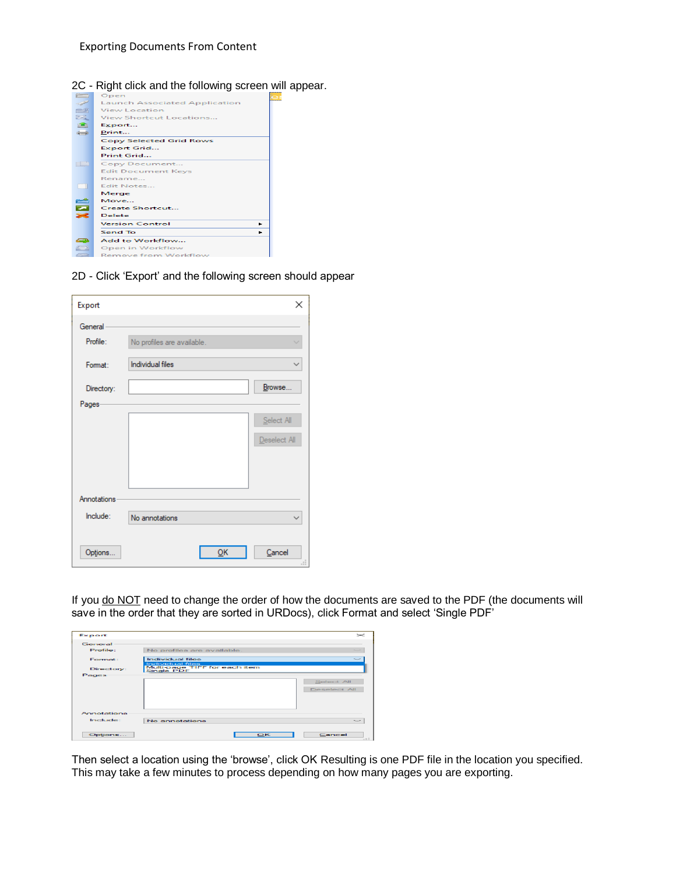

2D - Click 'Export' and the following screen should appear

| Export              |                            | ×            |
|---------------------|----------------------------|--------------|
| General<br>Profile: | No profiles are available. |              |
| Format:             | <b>Individual files</b>    |              |
| Directory:          |                            | Browse       |
| Pages-              |                            |              |
|                     |                            | Select All   |
|                     |                            | Deselect All |
|                     |                            |              |
|                     |                            |              |
|                     |                            |              |
| Annotations         |                            |              |
| Include:            | No annotations             |              |
|                     |                            |              |
| Options             | QK                         | Cancel<br>u  |

If you do NOT need to change the order of how the documents are saved to the PDF (the documents will save in the order that they are sorted in URDocs), click Format and select 'Single PDF'

| Export      |                                                                 | $\mathbb{\times}$ |
|-------------|-----------------------------------------------------------------|-------------------|
| General     |                                                                 |                   |
| Profile:    | No profiles are available.                                      | -                 |
| Format:     | Individual files                                                |                   |
| Directory:  | Individual files<br>Multi-page TIFF for each item<br>Single PDF |                   |
| Pages       |                                                                 |                   |
|             |                                                                 | Select All        |
|             |                                                                 | Deselect All      |
|             |                                                                 |                   |
|             |                                                                 |                   |
| Annotationa |                                                                 |                   |
| Include:    | No annotations                                                  |                   |
|             |                                                                 |                   |
| Options     | OK                                                              | Cancel<br>$-11$   |

Then select a location using the 'browse', click OK Resulting is one PDF file in the location you specified. This may take a few minutes to process depending on how many pages you are exporting.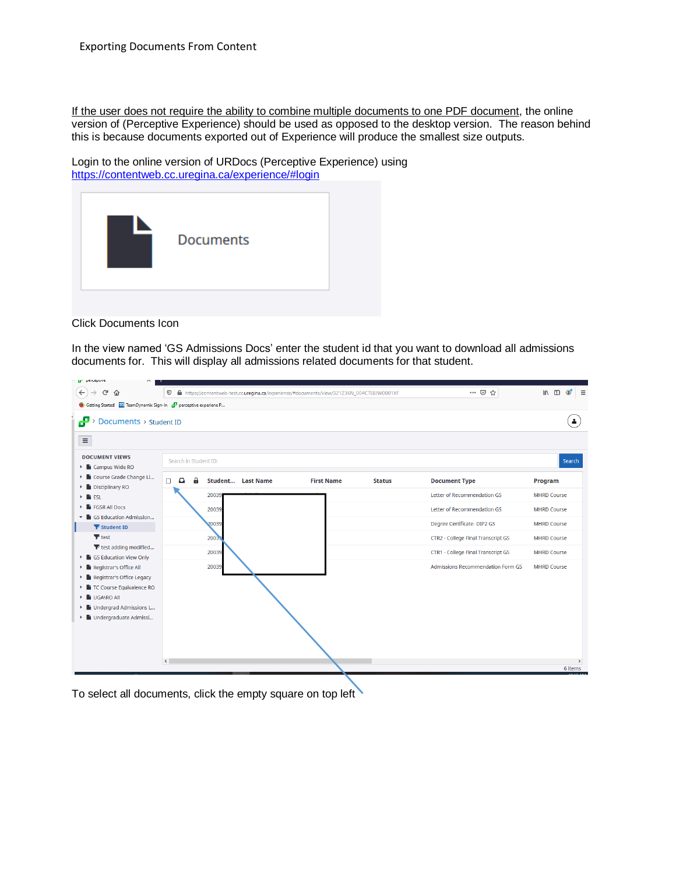If the user does not require the ability to combine multiple documents to one PDF document, the online version of (Perceptive Experience) should be used as opposed to the desktop version. The reason behind this is because documents exported out of Experience will produce the smallest size outputs.

Login to the online version of URDocs (Perceptive Experience) using <https://contentweb.cc.uregina.ca/experience/#login>



Click Documents Icon

In the view named 'GS Admissions Docs' enter the student id that you want to download all admissions documents for. This will display all admissions related documents for that student.



To select all documents, click the empty square on top left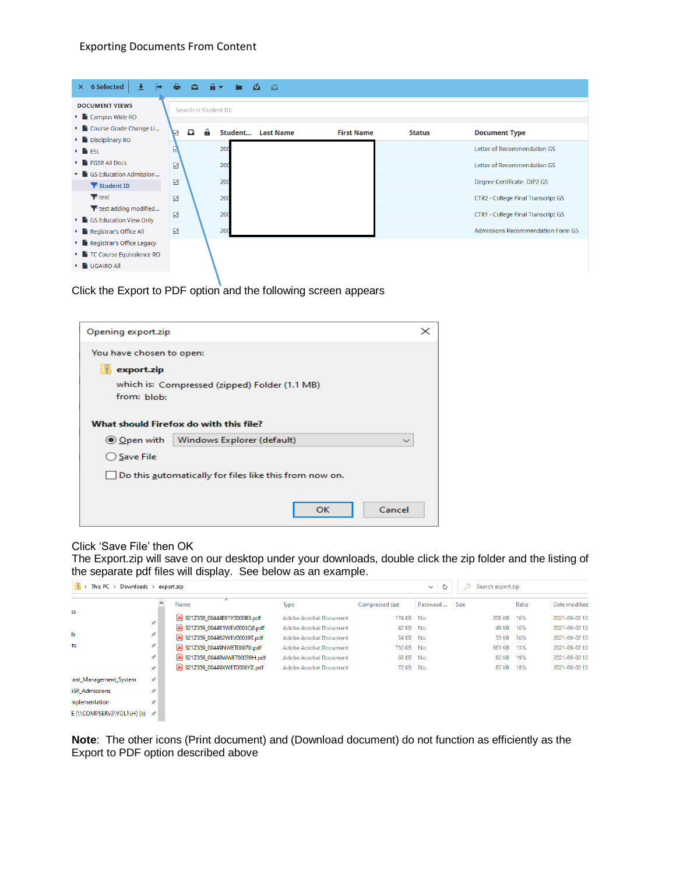| × 6 Selected<br>[→<br>┹<br><b>DOCUMENT VIEWS</b>                         | 髙                  | $\bullet$<br>Search in Student ID: | $\mathbf{a}$ $\mathbf{v}$ | $\blacksquare$ $\lightharpoonup$ | 一码               |                   |               |                                          |
|--------------------------------------------------------------------------|--------------------|------------------------------------|---------------------------|----------------------------------|------------------|-------------------|---------------|------------------------------------------|
| $\triangleright$ $\blacksquare$ Campus Wide RO<br>Course Grade Change Li |                    |                                    |                           |                                  |                  |                   |               |                                          |
| Disciplinary RO                                                          | V                  | $\Omega$                           | A                         | Student                          | <b>Last Name</b> | <b>First Name</b> | <b>Status</b> | <b>Document Type</b>                     |
| $\mathbf{F}$ <b>Fi</b> ESL                                               | ₽                  |                                    |                           | 200                              |                  |                   |               | Letter of Recommendation GS              |
| $\triangleright$ <b>FIGSR All Docs</b>                                   | $\triangledown$    |                                    |                           | 200                              |                  |                   |               | Letter of Recommendation GS              |
| GS Education Admission                                                   |                    |                                    |                           |                                  |                  |                   |               |                                          |
| $\blacktriangleright$ Student ID                                         | $\boxdot$          |                                    |                           | 200                              |                  |                   |               | Degree Certificate-DIP2 GS               |
| $P$ test                                                                 | ☑                  |                                    |                           | 200                              |                  |                   |               | CTR2 - College Final Transcript GS       |
| T test adding modified                                                   | $\bigtriangledown$ |                                    |                           | 200                              |                  |                   |               | CTR1 - College Final Transcript GS       |
| $\blacktriangleright$ <b>GS Education View Only</b>                      |                    |                                    |                           |                                  |                  |                   |               |                                          |
| Registrar's Office All                                                   | $\boxdot$          |                                    |                           | 200                              |                  |                   |               | <b>Admissions Recommendation Form GS</b> |
| Registrar's Office Legacy                                                |                    |                                    |                           |                                  |                  |                   |               |                                          |
| $\blacktriangleright$ <b>E</b> TC Course Equivalence RO                  |                    |                                    |                           |                                  |                  |                   |               |                                          |
| <b>L</b> UGANRO All                                                      |                    |                                    |                           |                                  |                  |                   |               |                                          |

Click the Export to PDF option and the following screen appears

| Opening export.zip                                     | $\times$     |
|--------------------------------------------------------|--------------|
| You have chosen to open:                               |              |
| U.<br>export.zip                                       |              |
| which is: Compressed (zipped) Folder (1.1 MB)          |              |
| from: blob:                                            |              |
|                                                        |              |
| What should Firefox do with this file?                 |              |
| ◉ Open with<br>Windows Explorer (default)              | $\checkmark$ |
| ○ Save File                                            |              |
| Do this automatically for files like this from now on. |              |
|                                                        |              |
| OK                                                     | Cancel       |
|                                                        |              |

# Click 'Save File' then OK

The Export.zip will save on our desktop under your downloads, double click the zip folder and the listing of the separate pdf files will display. See below as an example.

| This PC $\rightarrow$ Downloads $\rightarrow$ | export.zip | ්<br>$\checkmark$                | Search export.zip<br>$\circ$  |                 |          |        |       |                |
|-----------------------------------------------|------------|----------------------------------|-------------------------------|-----------------|----------|--------|-------|----------------|
|                                               |            | $\overline{\phantom{a}}$<br>Name | Type                          | Compressed size | Password | Size   | Ratio | Date modified  |
| 55                                            | À          | A 321Z358 00444E81Y0000B3.pdf    | Adobe Acrobat Document        | 174 KB No       |          | 206 KB | 16%   | 2021-09-02 10  |
|                                               |            | 321Z359 0044B1WEV0003Q0.pdf      | Adobe Acrobat Document        | 42 KB No        |          | 49 KB  | 16%   | 2021-09-02 10  |
| ls.                                           | À          | 321Z359 0044B2WEV00039T.pdf      | Adobe Acrobat Document        | 34 KB No        |          | 53 KB  | 36%   | 2021-09-02 10  |
| ts                                            | À          | 2 321Z359 00449NWET0007JJ.pdf    | <b>Adobe Acrobat Document</b> | 750 KB No       |          | 861 KB | 13%   | 2021-09-02 10  |
|                                               | À          | A 321Z359 00449WWET00039H.pdf    | Adobe Acrobat Document        | 68 KB No        |          | 82 KB  | 19%   | 2021-09-02 10  |
|                                               | À.         | 321Z359 00449XWET0006YZ.pdf      | <b>Adobe Acrobat Document</b> | 72 KB No        |          | 87 KB  | 18%   | 2021-09-02 10. |
| ant_Management_System                         | À          |                                  |                               |                 |          |        |       |                |
| <b>SR Admissions</b>                          | À          |                                  |                               |                 |          |        |       |                |
| nplementation                                 | À          |                                  |                               |                 |          |        |       |                |
| E (\\COMPSERV3\VOL1\H) (I:) *                 |            |                                  |                               |                 |          |        |       |                |

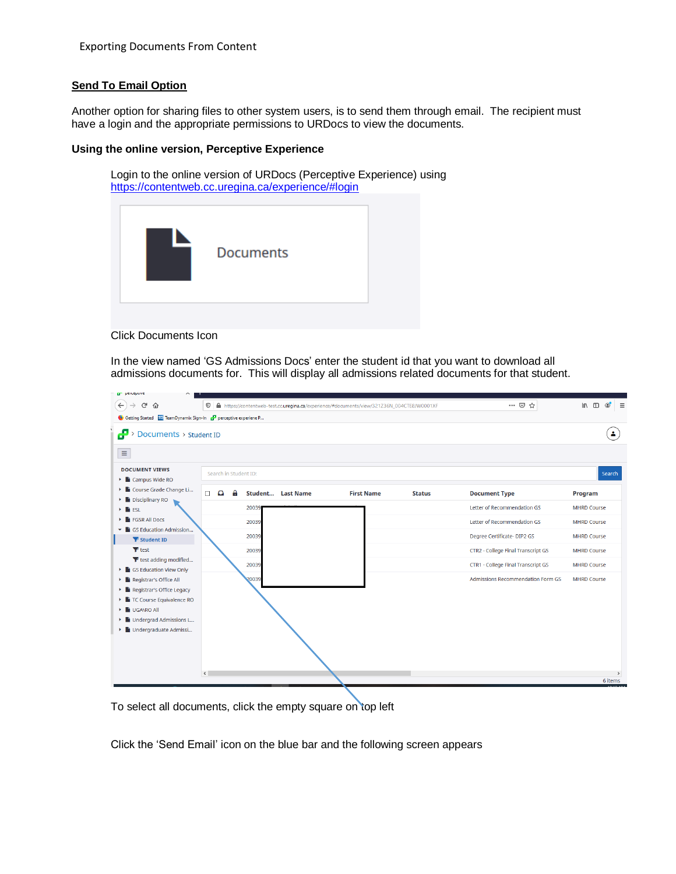# **Send To Email Option**

Another option for sharing files to other system users, is to send them through email. The recipient must have a login and the appropriate permissions to URDocs to view the documents.

#### **Using the online version, Perceptive Experience**

Login to the online version of URDocs (Perceptive Experience) using <https://contentweb.cc.uregina.ca/experience/#login>



Click Documents Icon

In the view named 'GS Admissions Docs' enter the student id that you want to download all admissions documents for. This will display all admissions related documents for that student.



To select all documents, click the empty square on top left

Click the 'Send Email' icon on the blue bar and the following screen appears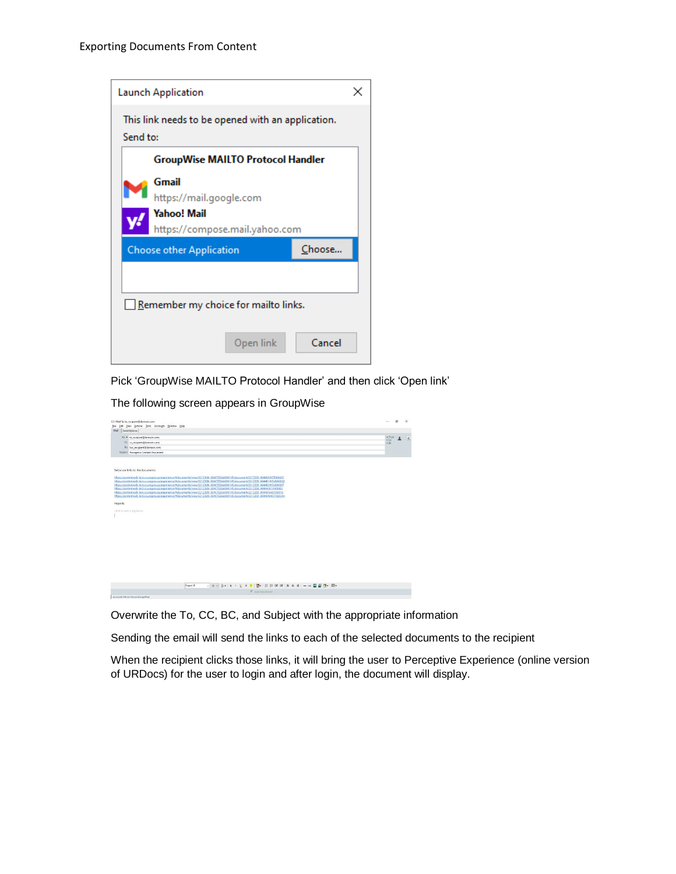

Pick 'GroupWise MAILTO Protocol Handler' and then click 'Open link'

The following screen appears in GroupWise

| File Edit View Actions Tools Accounts Window Help<br>$+$ From<br>To: * to recipient@domain.com;<br>$\mathbb{R} \times$<br>Cc. cc.recipient@domain.com;<br>wRx<br>BC bcc recipient@domain.com;<br>Subject: Perceptive Content Document<br>https://contentweb-test.cc.uregina.ca/experience/#documents/view/321236N_004CTE8/W0001XF/document/3212359_00449XWET0006Y2<br>https://contentweb-test.cc.uregina.ca/experience/#documents/view/321Z36N_004CTE8/W0001XF/document/321Z359_0044B1WEV0003Q0<br>https://contentweb-test.cc.uregina.ca/experience/#documents/view/321236N_004CTE8/W0001XF/document/3212359_004482WEV00039T<br>https://contentweb-test.cc.uregina.ca/experience/#documents/view/321Z36N_004CTE8/W0001XF/document/321Z358_00444E81Y000083<br>https://contentweb-test.cc.uregina.ca/experience/#documents/view/321Z36N_004CTEB/W0001XF/document/321Z359_00449NWET0007JJ<br>https://contentweb-test.cc.uregina.ca/experience/#documents/view/321236N_004CTEB/W0001XF/document/3212359_00449WWET00039H<br>$\sim$ 10 $\times$ 3 $\times$ 3 $\times$ 5 $\times$ 7 $\times$ 7 $\times$ 1 $\times$ 1 $\times$ 1 $\times$ 1 $\times$ 1 $\times$ 1 $\times$ 1 $\times$ 1 $\times$ 1 $\times$ 1 $\times$ 1 $\times$ 1 $\times$ 1 $\times$ 1 $\times$ 1 $\times$ 1 $\times$ 1 $\times$ 1 $\times$ 1 $\times$ 1 $\times$ 1 $\times$ 1 $\times$ 1 $\times$ 1 $\times$ 1 $\times$<br>Segoe UI | Ell Mail To: to_recipient@domain.com                                      |                          | n | $\times$ |
|-------------------------------------------------------------------------------------------------------------------------------------------------------------------------------------------------------------------------------------------------------------------------------------------------------------------------------------------------------------------------------------------------------------------------------------------------------------------------------------------------------------------------------------------------------------------------------------------------------------------------------------------------------------------------------------------------------------------------------------------------------------------------------------------------------------------------------------------------------------------------------------------------------------------------------------------------------------------------------------------------------------------------------------------------------------------------------------------------------------------------------------------------------------------------------------------------------------------------------------------------------------------------------------------------------------------------------------------------------------------------------------------------|---------------------------------------------------------------------------|--------------------------|---|----------|
|                                                                                                                                                                                                                                                                                                                                                                                                                                                                                                                                                                                                                                                                                                                                                                                                                                                                                                                                                                                                                                                                                                                                                                                                                                                                                                                                                                                                 | Mail Send Options                                                         |                          |   |          |
|                                                                                                                                                                                                                                                                                                                                                                                                                                                                                                                                                                                                                                                                                                                                                                                                                                                                                                                                                                                                                                                                                                                                                                                                                                                                                                                                                                                                 |                                                                           |                          |   |          |
|                                                                                                                                                                                                                                                                                                                                                                                                                                                                                                                                                                                                                                                                                                                                                                                                                                                                                                                                                                                                                                                                                                                                                                                                                                                                                                                                                                                                 |                                                                           |                          |   |          |
|                                                                                                                                                                                                                                                                                                                                                                                                                                                                                                                                                                                                                                                                                                                                                                                                                                                                                                                                                                                                                                                                                                                                                                                                                                                                                                                                                                                                 |                                                                           |                          |   |          |
|                                                                                                                                                                                                                                                                                                                                                                                                                                                                                                                                                                                                                                                                                                                                                                                                                                                                                                                                                                                                                                                                                                                                                                                                                                                                                                                                                                                                 |                                                                           |                          |   |          |
|                                                                                                                                                                                                                                                                                                                                                                                                                                                                                                                                                                                                                                                                                                                                                                                                                                                                                                                                                                                                                                                                                                                                                                                                                                                                                                                                                                                                 | Below are links to the documents:<br>Regards.<br>Click to add a signature |                          |   |          |
|                                                                                                                                                                                                                                                                                                                                                                                                                                                                                                                                                                                                                                                                                                                                                                                                                                                                                                                                                                                                                                                                                                                                                                                                                                                                                                                                                                                                 |                                                                           |                          |   |          |
|                                                                                                                                                                                                                                                                                                                                                                                                                                                                                                                                                                                                                                                                                                                                                                                                                                                                                                                                                                                                                                                                                                                                                                                                                                                                                                                                                                                                 |                                                                           | <b>d'</b> Add Attachment |   |          |

Overwrite the To, CC, BC, and Subject with the appropriate information

Sending the email will send the links to each of the selected documents to the recipient

When the recipient clicks those links, it will bring the user to Perceptive Experience (online version of URDocs) for the user to login and after login, the document will display.